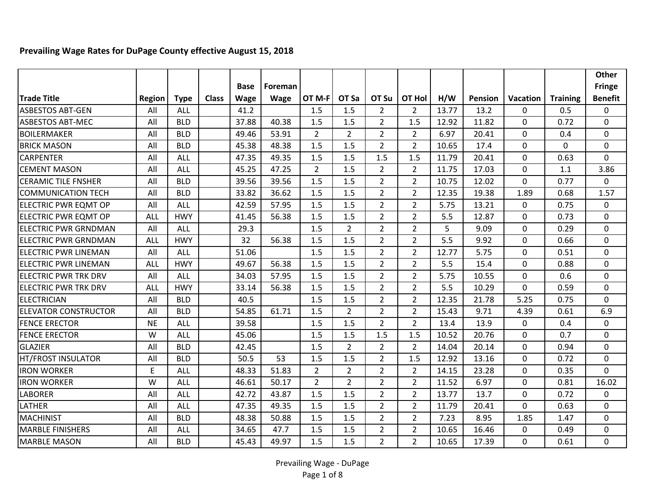# **Prevailing Wage Rates for DuPage County effective August 15, 2018**

|                             |               |             |              |             |         |                |                |                |                |       |                |             |                 | <b>Other</b>   |
|-----------------------------|---------------|-------------|--------------|-------------|---------|----------------|----------------|----------------|----------------|-------|----------------|-------------|-----------------|----------------|
|                             |               |             |              | <b>Base</b> | Foreman |                |                |                |                |       |                |             |                 | <b>Fringe</b>  |
| <b>Trade Title</b>          | <b>Region</b> | <b>Type</b> | <b>Class</b> | <b>Wage</b> | Wage    | OT M-F         | OT Sa          | OT Su          | OT Hol         | H/W   | <b>Pension</b> | Vacation    | <b>Training</b> | <b>Benefit</b> |
| <b>ASBESTOS ABT-GEN</b>     | All           | ALL         |              | 41.2        |         | 1.5            | 1.5            | $\overline{2}$ | $\overline{2}$ | 13.77 | 13.2           | 0           | 0.5             | 0              |
| <b>ASBESTOS ABT-MEC</b>     | All           | <b>BLD</b>  |              | 37.88       | 40.38   | 1.5            | 1.5            | $\overline{2}$ | 1.5            | 12.92 | 11.82          | $\mathbf 0$ | 0.72            | 0              |
| <b>BOILERMAKER</b>          | All           | <b>BLD</b>  |              | 49.46       | 53.91   | $\overline{2}$ | $\overline{2}$ | $\overline{2}$ | $\overline{2}$ | 6.97  | 20.41          | 0           | 0.4             | 0              |
| <b>BRICK MASON</b>          | All           | <b>BLD</b>  |              | 45.38       | 48.38   | 1.5            | 1.5            | 2              | 2              | 10.65 | 17.4           | 0           | $\Omega$        | 0              |
| <b>CARPENTER</b>            | All           | ALL         |              | 47.35       | 49.35   | 1.5            | 1.5            | 1.5            | 1.5            | 11.79 | 20.41          | 0           | 0.63            | 0              |
| <b>CEMENT MASON</b>         | All           | ALL         |              | 45.25       | 47.25   | $\overline{2}$ | 1.5            | $\overline{2}$ | $\overline{2}$ | 11.75 | 17.03          | 0           | 1.1             | 3.86           |
| <b>CERAMIC TILE FNSHER</b>  | All           | <b>BLD</b>  |              | 39.56       | 39.56   | 1.5            | 1.5            | $\overline{2}$ | $\overline{2}$ | 10.75 | 12.02          | 0           | 0.77            | 0              |
| <b>COMMUNICATION TECH</b>   | All           | <b>BLD</b>  |              | 33.82       | 36.62   | 1.5            | 1.5            | $\overline{2}$ | $\overline{2}$ | 12.35 | 19.38          | 1.89        | 0.68            | 1.57           |
| <b>ELECTRIC PWR EQMT OP</b> | All           | ALL         |              | 42.59       | 57.95   | 1.5            | 1.5            | $\overline{2}$ | $\overline{2}$ | 5.75  | 13.21          | 0           | 0.75            | 0              |
| ELECTRIC PWR EQMT OP        | ALL           | <b>HWY</b>  |              | 41.45       | 56.38   | 1.5            | 1.5            | $\overline{2}$ | $\overline{2}$ | 5.5   | 12.87          | 0           | 0.73            | 0              |
| <b>ELECTRIC PWR GRNDMAN</b> | All           | ALL         |              | 29.3        |         | 1.5            | $\overline{2}$ | $\overline{2}$ | $\overline{2}$ | 5     | 9.09           | 0           | 0.29            | 0              |
| <b>ELECTRIC PWR GRNDMAN</b> | ALL           | <b>HWY</b>  |              | 32          | 56.38   | 1.5            | 1.5            | $\overline{2}$ | $\overline{2}$ | 5.5   | 9.92           | 0           | 0.66            | 0              |
| <b>ELECTRIC PWR LINEMAN</b> | All           | ALL         |              | 51.06       |         | 1.5            | 1.5            | $\overline{2}$ | $\overline{2}$ | 12.77 | 5.75           | 0           | 0.51            | 0              |
| <b>ELECTRIC PWR LINEMAN</b> | ALL           | <b>HWY</b>  |              | 49.67       | 56.38   | 1.5            | 1.5            | $\overline{2}$ | $\overline{2}$ | 5.5   | 15.4           | 0           | 0.88            | 0              |
| <b>ELECTRIC PWR TRK DRV</b> | All           | ALL         |              | 34.03       | 57.95   | 1.5            | 1.5            | $\overline{2}$ | $\overline{2}$ | 5.75  | 10.55          | 0           | 0.6             | 0              |
| <b>ELECTRIC PWR TRK DRV</b> | ALL           | <b>HWY</b>  |              | 33.14       | 56.38   | 1.5            | 1.5            | 2              | 2              | 5.5   | 10.29          | 0           | 0.59            | 0              |
| <b>ELECTRICIAN</b>          | All           | <b>BLD</b>  |              | 40.5        |         | 1.5            | 1.5            | $\overline{2}$ | $\overline{2}$ | 12.35 | 21.78          | 5.25        | 0.75            | $\overline{0}$ |
| <b>ELEVATOR CONSTRUCTOR</b> | All           | <b>BLD</b>  |              | 54.85       | 61.71   | 1.5            | 2              | 2              | 2              | 15.43 | 9.71           | 4.39        | 0.61            | 6.9            |
| <b>FENCE ERECTOR</b>        | <b>NE</b>     | <b>ALL</b>  |              | 39.58       |         | 1.5            | 1.5            | $\overline{2}$ | $\overline{2}$ | 13.4  | 13.9           | 0           | 0.4             | 0              |
| <b>FENCE ERECTOR</b>        | W             | <b>ALL</b>  |              | 45.06       |         | 1.5            | 1.5            | 1.5            | 1.5            | 10.52 | 20.76          | $\mathbf 0$ | 0.7             | $\overline{0}$ |
| <b>GLAZIER</b>              | All           | <b>BLD</b>  |              | 42.45       |         | 1.5            | $\overline{2}$ | $\overline{2}$ | $\overline{2}$ | 14.04 | 20.14          | 0           | 0.94            | 0              |
| HT/FROST INSULATOR          | All           | <b>BLD</b>  |              | 50.5        | 53      | 1.5            | 1.5            | $\overline{2}$ | 1.5            | 12.92 | 13.16          | 0           | 0.72            | 0              |
| <b>IRON WORKER</b>          | E             | ALL         |              | 48.33       | 51.83   | $\overline{2}$ | $\overline{2}$ | $\overline{2}$ | $\overline{2}$ | 14.15 | 23.28          | $\mathbf 0$ | 0.35            | $\Omega$       |
| <b>IRON WORKER</b>          | W             | ALL         |              | 46.61       | 50.17   | $\overline{2}$ | $\overline{2}$ | $\overline{2}$ | $\overline{2}$ | 11.52 | 6.97           | 0           | 0.81            | 16.02          |
| <b>LABORER</b>              | All           | <b>ALL</b>  |              | 42.72       | 43.87   | 1.5            | 1.5            | $\overline{2}$ | $\overline{2}$ | 13.77 | 13.7           | 0           | 0.72            | 0              |
| LATHER                      | All           | ALL         |              | 47.35       | 49.35   | 1.5            | 1.5            | $\overline{2}$ | $\overline{2}$ | 11.79 | 20.41          | $\mathbf 0$ | 0.63            | 0              |
| <b>MACHINIST</b>            | All           | <b>BLD</b>  |              | 48.38       | 50.88   | 1.5            | 1.5            | $\overline{2}$ | $\overline{2}$ | 7.23  | 8.95           | 1.85        | 1.47            | 0              |
| <b>MARBLE FINISHERS</b>     | All           | <b>ALL</b>  |              | 34.65       | 47.7    | 1.5            | 1.5            | $\overline{2}$ | $\overline{2}$ | 10.65 | 16.46          | 0           | 0.49            | 0              |
| <b>MARBLE MASON</b>         | All           | <b>BLD</b>  |              | 45.43       | 49.97   | 1.5            | 1.5            | $\overline{2}$ | $\overline{2}$ | 10.65 | 17.39          | $\mathbf 0$ | 0.61            | $\overline{0}$ |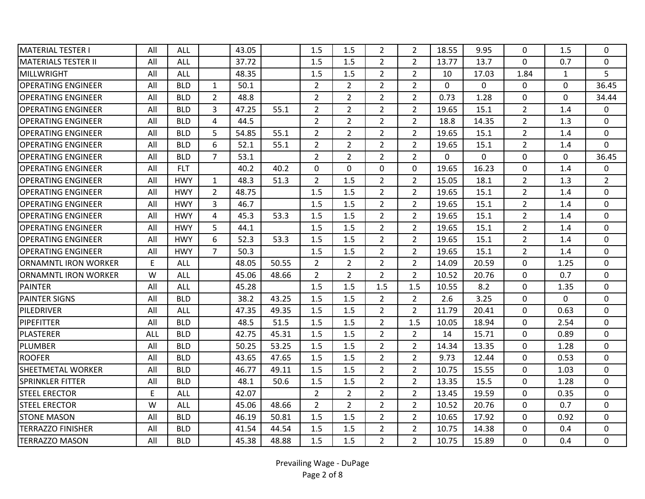| <b>MATERIAL TESTER I</b>   | All | ALL        |                | 43.05 |       | 1.5            | 1.5            | $\overline{2}$ | $\overline{2}$ | 18.55        | 9.95         | $\Omega$       | 1.5          | $\Omega$       |
|----------------------------|-----|------------|----------------|-------|-------|----------------|----------------|----------------|----------------|--------------|--------------|----------------|--------------|----------------|
| <b>MATERIALS TESTER II</b> | All | ALL        |                | 37.72 |       | 1.5            | 1.5            | $\overline{2}$ | $\overline{2}$ | 13.77        | 13.7         | $\mathbf 0$    | 0.7          | $\mathbf{0}$   |
| <b>MILLWRIGHT</b>          | All | ALL        |                | 48.35 |       | 1.5            | 1.5            | $\overline{2}$ | $\overline{2}$ | 10           | 17.03        | 1.84           | $\mathbf{1}$ | 5              |
| <b>OPERATING ENGINEER</b>  | All | <b>BLD</b> | $\mathbf{1}$   | 50.1  |       | $\overline{2}$ | $\overline{2}$ | $\overline{2}$ | $\overline{2}$ | $\Omega$     | $\mathbf 0$  | $\mathbf{0}$   | $\Omega$     | 36.45          |
| <b>OPERATING ENGINEER</b>  | All | <b>BLD</b> | $\overline{2}$ | 48.8  |       | $\overline{2}$ | $\overline{2}$ | $\overline{2}$ | $\overline{2}$ | 0.73         | 1.28         | 0              | 0            | 34.44          |
| <b>OPERATING ENGINEER</b>  | All | <b>BLD</b> | 3              | 47.25 | 55.1  | $\overline{2}$ | 2              | 2              | $\overline{2}$ | 19.65        | 15.1         | $\overline{2}$ | 1.4          | 0              |
| <b>OPERATING ENGINEER</b>  | All | <b>BLD</b> | 4              | 44.5  |       | $\overline{2}$ | $\overline{2}$ | $\overline{2}$ | $\overline{2}$ | 18.8         | 14.35        | $\overline{2}$ | 1.3          | $\mathbf{0}$   |
| <b>OPERATING ENGINEER</b>  | All | <b>BLD</b> | 5              | 54.85 | 55.1  | $\overline{2}$ | $\overline{2}$ | $\overline{2}$ | $\overline{2}$ | 19.65        | 15.1         | $\overline{2}$ | 1.4          | $\mathbf{0}$   |
| <b>OPERATING ENGINEER</b>  | All | <b>BLD</b> | 6              | 52.1  | 55.1  | $\overline{2}$ | $\overline{2}$ | $\overline{2}$ | $\overline{2}$ | 19.65        | 15.1         | $\overline{2}$ | 1.4          | $\mathbf 0$    |
| <b>OPERATING ENGINEER</b>  | All | <b>BLD</b> | $\overline{7}$ | 53.1  |       | $\overline{2}$ | $\overline{2}$ | $\overline{2}$ | $\overline{2}$ | $\mathbf{0}$ | $\mathbf{0}$ | $\mathbf 0$    | $\Omega$     | 36.45          |
| <b>OPERATING ENGINEER</b>  | All | <b>FLT</b> |                | 40.2  | 40.2  | $\mathbf{0}$   | $\Omega$       | $\Omega$       | $\Omega$       | 19.65        | 16.23        | 0              | 1.4          | $\mathbf{0}$   |
| <b>OPERATING ENGINEER</b>  | All | <b>HWY</b> | $\mathbf{1}$   | 48.3  | 51.3  | $\overline{2}$ | 1.5            | $\overline{2}$ | $\overline{2}$ | 15.05        | 18.1         | $\overline{2}$ | 1.3          | $\overline{2}$ |
| <b>OPERATING ENGINEER</b>  | All | <b>HWY</b> | $\overline{2}$ | 48.75 |       | 1.5            | 1.5            | $\overline{2}$ | $\overline{2}$ | 19.65        | 15.1         | $\overline{2}$ | 1.4          | $\mathbf{0}$   |
| <b>OPERATING ENGINEER</b>  | All | <b>HWY</b> | 3              | 46.7  |       | 1.5            | 1.5            | $\overline{2}$ | $\overline{2}$ | 19.65        | 15.1         | $\overline{2}$ | 1.4          | $\mathbf{0}$   |
| <b>OPERATING ENGINEER</b>  | All | <b>HWY</b> | 4              | 45.3  | 53.3  | 1.5            | 1.5            | $\overline{2}$ | $\overline{2}$ | 19.65        | 15.1         | $\overline{2}$ | 1.4          | 0              |
| <b>OPERATING ENGINEER</b>  | All | <b>HWY</b> | 5              | 44.1  |       | 1.5            | 1.5            | 2              | $\overline{2}$ | 19.65        | 15.1         | $\overline{2}$ | 1.4          | 0              |
| <b>OPERATING ENGINEER</b>  | All | <b>HWY</b> | 6              | 52.3  | 53.3  | 1.5            | 1.5            | $\overline{2}$ | $\overline{2}$ | 19.65        | 15.1         | $\overline{2}$ | 1.4          | $\mathbf 0$    |
| <b>OPERATING ENGINEER</b>  | All | <b>HWY</b> | $\overline{7}$ | 50.3  |       | 1.5            | 1.5            | $\overline{2}$ | $\overline{2}$ | 19.65        | 15.1         | $\overline{2}$ | 1.4          | 0              |
| ORNAMNTL IRON WORKER       | E   | ALL        |                | 48.05 | 50.55 | $\overline{2}$ | $\overline{2}$ | $\overline{2}$ | $\overline{2}$ | 14.09        | 20.59        | $\mathbf{0}$   | 1.25         | $\mathbf{0}$   |
| ORNAMNTL IRON WORKER       | W   | <b>ALL</b> |                | 45.06 | 48.66 | $\overline{2}$ | $\overline{2}$ | $\overline{2}$ | $\overline{2}$ | 10.52        | 20.76        | $\mathbf 0$    | 0.7          | $\mathbf 0$    |
| <b>PAINTER</b>             | All | ALL        |                | 45.28 |       | 1.5            | 1.5            | 1.5            | 1.5            | 10.55        | 8.2          | $\mathbf 0$    | 1.35         | $\mathbf 0$    |
| <b>PAINTER SIGNS</b>       | All | <b>BLD</b> |                | 38.2  | 43.25 | 1.5            | 1.5            | $\overline{2}$ | $\overline{2}$ | 2.6          | 3.25         | 0              | $\mathbf{0}$ | $\mathbf{0}$   |
| PILEDRIVER                 | All | ALL        |                | 47.35 | 49.35 | 1.5            | 1.5            | $\overline{2}$ | $\overline{2}$ | 11.79        | 20.41        | $\mathbf{0}$   | 0.63         | $\mathbf{0}$   |
| PIPEFITTER                 | All | <b>BLD</b> |                | 48.5  | 51.5  | 1.5            | 1.5            | $\overline{2}$ | 1.5            | 10.05        | 18.94        | $\mathbf{0}$   | 2.54         | $\mathbf{0}$   |
| <b>PLASTERER</b>           | ALL | <b>BLD</b> |                | 42.75 | 45.31 | 1.5            | 1.5            | $\overline{2}$ | $\overline{2}$ | 14           | 15.71        | $\mathbf{0}$   | 0.89         | $\mathbf{0}$   |
| PLUMBER                    | All | <b>BLD</b> |                | 50.25 | 53.25 | 1.5            | 1.5            | $\overline{2}$ | $\overline{2}$ | 14.34        | 13.35        | 0              | 1.28         | 0              |
| <b>ROOFER</b>              | All | <b>BLD</b> |                | 43.65 | 47.65 | 1.5            | 1.5            | $\overline{2}$ | $\overline{2}$ | 9.73         | 12.44        | 0              | 0.53         | $\Omega$       |
| SHEETMETAL WORKER          | All | <b>BLD</b> |                | 46.77 | 49.11 | 1.5            | 1.5            | $\overline{2}$ | $\overline{2}$ | 10.75        | 15.55        | 0              | 1.03         | $\mathbf{0}$   |
| <b>SPRINKLER FITTER</b>    | All | <b>BLD</b> |                | 48.1  | 50.6  | 1.5            | 1.5            | $\overline{2}$ | $\overline{2}$ | 13.35        | 15.5         | 0              | 1.28         | $\mathbf{0}$   |
| <b>STEEL ERECTOR</b>       | E   | ALL        |                | 42.07 |       | $\overline{2}$ | $\overline{2}$ | $\overline{2}$ | $\overline{2}$ | 13.45        | 19.59        | $\Omega$       | 0.35         | $\Omega$       |
| <b>STEEL ERECTOR</b>       | W   | ALL        |                | 45.06 | 48.66 | $\overline{2}$ | $\overline{2}$ | $\overline{2}$ | $\overline{2}$ | 10.52        | 20.76        | $\mathbf 0$    | 0.7          | $\mathbf 0$    |
| <b>STONE MASON</b>         | All | <b>BLD</b> |                | 46.19 | 50.81 | 1.5            | 1.5            | $\overline{2}$ | $\overline{2}$ | 10.65        | 17.92        | 0              | 0.92         | $\mathbf{0}$   |
| TERRAZZO FINISHER          | All | <b>BLD</b> |                | 41.54 | 44.54 | 1.5            | 1.5            | $\overline{2}$ | $\overline{2}$ | 10.75        | 14.38        | 0              | 0.4          | 0              |
| <b>TERRAZZO MASON</b>      | All | <b>BLD</b> |                | 45.38 | 48.88 | 1.5            | 1.5            | $\overline{2}$ | $\overline{2}$ | 10.75        | 15.89        | $\mathbf 0$    | 0.4          | $\mathbf 0$    |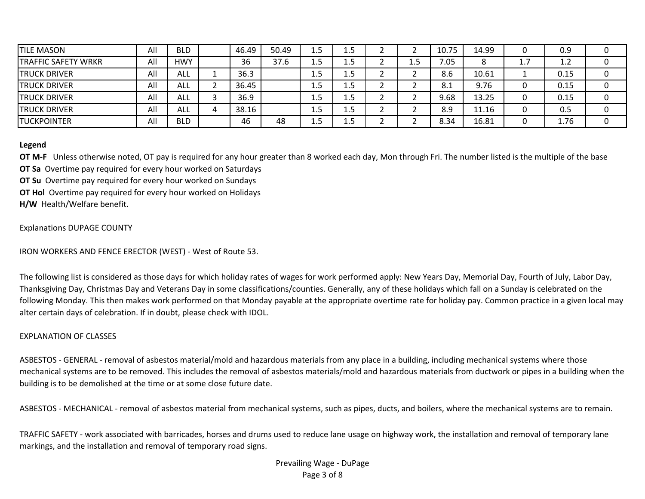| <b>TILE MASON</b>          | All | <b>BLD</b> |   | 46.49 | 50.49 | 1.5     | 1.5 |     | 10.75 | 14.99 |     | 0.9  |  |
|----------------------------|-----|------------|---|-------|-------|---------|-----|-----|-------|-------|-----|------|--|
| <b>TRAFFIC SAFETY WRKR</b> | All | <b>HWY</b> |   | 36    | 37.6  | 1.5     | 1.5 | 1.5 | 7.05  |       | 1.7 | 1.2  |  |
| <b>ITRUCK DRIVER</b>       | All | ALL        |   | 36.3  |       | 1.5     | 1.5 |     | 8.6   | 10.61 |     | 0.15 |  |
| <b>TRUCK DRIVER</b>        | All | ALL        | - | 36.45 |       | $1.5\,$ | 1.5 |     | 8.1   | 9.76  |     | 0.15 |  |
| <b>ITRUCK DRIVER</b>       | All | ALL        |   | 36.9  |       | 1.5     | 1.5 |     | 9.68  | 13.25 |     | 0.15 |  |
| <b>TRUCK DRIVER</b>        | All | ALL        | 4 | 38.16 |       | 1.5     | 1.5 |     | 8.9   | 11.16 |     | 0.5  |  |
| <b>ITUCKPOINTER</b>        | All | <b>BLD</b> |   | 46    | 48    | 1.5     | 1.5 |     | 8.34  | 16.81 |     | 1.76 |  |

## **Legend**

**OT M-F** Unless otherwise noted, OT pay is required for any hour greater than 8 worked each day, Mon through Fri. The number listed is the multiple of the base **OT Sa** Overtime pay required for every hour worked on Saturdays

**OT Su** Overtime pay required for every hour worked on Sundays

**OT Hol** Overtime pay required for every hour worked on Holidays

**H/W** Health/Welfare benefit.

Explanations DUPAGE COUNTY

IRON WORKERS AND FENCE ERECTOR (WEST) - West of Route 53.

The following list is considered as those days for which holiday rates of wages for work performed apply: New Years Day, Memorial Day, Fourth of July, Labor Day, Thanksgiving Day, Christmas Day and Veterans Day in some classifications/counties. Generally, any of these holidays which fall on a Sunday is celebrated on the following Monday. This then makes work performed on that Monday payable at the appropriate overtime rate for holiday pay. Common practice in a given local may alter certain days of celebration. If in doubt, please check with IDOL.

### EXPLANATION OF CLASSES

ASBESTOS - GENERAL - removal of asbestos material/mold and hazardous materials from any place in a building, including mechanical systems where those mechanical systems are to be removed. This includes the removal of asbestos materials/mold and hazardous materials from ductwork or pipes in a building when the building is to be demolished at the time or at some close future date.

ASBESTOS - MECHANICAL - removal of asbestos material from mechanical systems, such as pipes, ducts, and boilers, where the mechanical systems are to remain.

TRAFFIC SAFETY - work associated with barricades, horses and drums used to reduce lane usage on highway work, the installation and removal of temporary lane markings, and the installation and removal of temporary road signs.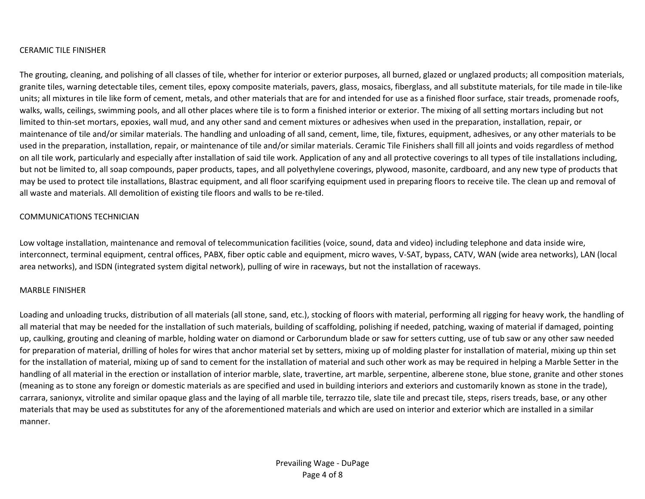### CERAMIC TILE FINISHER

The grouting, cleaning, and polishing of all classes of tile, whether for interior or exterior purposes, all burned, glazed or unglazed products; all composition materials, granite tiles, warning detectable tiles, cement tiles, epoxy composite materials, pavers, glass, mosaics, fiberglass, and all substitute materials, for tile made in tile-like units; all mixtures in tile like form of cement, metals, and other materials that are for and intended for use as a finished floor surface, stair treads, promenade roofs, walks, walls, ceilings, swimming pools, and all other places where tile is to form a finished interior or exterior. The mixing of all setting mortars including but not limited to thin-set mortars, epoxies, wall mud, and any other sand and cement mixtures or adhesives when used in the preparation, installation, repair, or maintenance of tile and/or similar materials. The handling and unloading of all sand, cement, lime, tile, fixtures, equipment, adhesives, or any other materials to be used in the preparation, installation, repair, or maintenance of tile and/or similar materials. Ceramic Tile Finishers shall fill all joints and voids regardless of method on all tile work, particularly and especially after installation of said tile work. Application of any and all protective coverings to all types of tile installations including, but not be limited to, all soap compounds, paper products, tapes, and all polyethylene coverings, plywood, masonite, cardboard, and any new type of products that may be used to protect tile installations, Blastrac equipment, and all floor scarifying equipment used in preparing floors to receive tile. The clean up and removal of all waste and materials. All demolition of existing tile floors and walls to be re-tiled.

### COMMUNICATIONS TECHNICIAN

Low voltage installation, maintenance and removal of telecommunication facilities (voice, sound, data and video) including telephone and data inside wire, interconnect, terminal equipment, central offices, PABX, fiber optic cable and equipment, micro waves, V-SAT, bypass, CATV, WAN (wide area networks), LAN (local area networks), and ISDN (integrated system digital network), pulling of wire in raceways, but not the installation of raceways.

### MARBLE FINISHER

Loading and unloading trucks, distribution of all materials (all stone, sand, etc.), stocking of floors with material, performing all rigging for heavy work, the handling of all material that may be needed for the installation of such materials, building of scaffolding, polishing if needed, patching, waxing of material if damaged, pointing up, caulking, grouting and cleaning of marble, holding water on diamond or Carborundum blade or saw for setters cutting, use of tub saw or any other saw needed for preparation of material, drilling of holes for wires that anchor material set by setters, mixing up of molding plaster for installation of material, mixing up thin set for the installation of material, mixing up of sand to cement for the installation of material and such other work as may be required in helping a Marble Setter in the handling of all material in the erection or installation of interior marble, slate, travertine, art marble, serpentine, alberene stone, blue stone, granite and other stones (meaning as to stone any foreign or domestic materials as are specified and used in building interiors and exteriors and customarily known as stone in the trade), carrara, sanionyx, vitrolite and similar opaque glass and the laying of all marble tile, terrazzo tile, slate tile and precast tile, steps, risers treads, base, or any other materials that may be used as substitutes for any of the aforementioned materials and which are used on interior and exterior which are installed in a similar manner.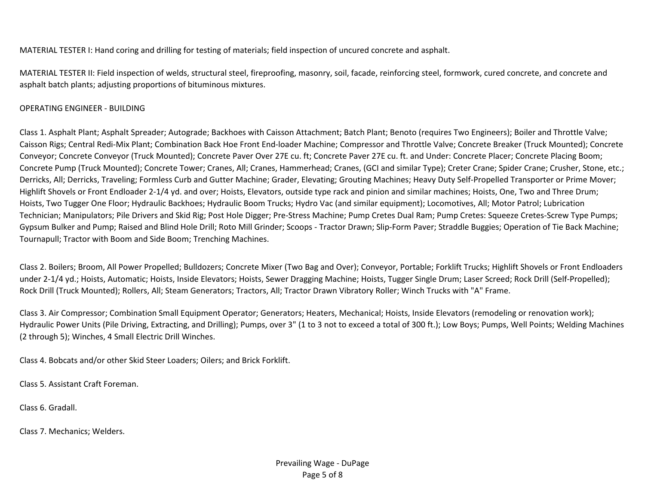MATERIAL TESTER I: Hand coring and drilling for testing of materials; field inspection of uncured concrete and asphalt.

MATERIAL TESTER II: Field inspection of welds, structural steel, fireproofing, masonry, soil, facade, reinforcing steel, formwork, cured concrete, and concrete and asphalt batch plants; adjusting proportions of bituminous mixtures.

# OPERATING ENGINEER - BUILDING

Class 1. Asphalt Plant; Asphalt Spreader; Autograde; Backhoes with Caisson Attachment; Batch Plant; Benoto (requires Two Engineers); Boiler and Throttle Valve; Caisson Rigs; Central Redi-Mix Plant; Combination Back Hoe Front End-loader Machine; Compressor and Throttle Valve; Concrete Breaker (Truck Mounted); Concrete Conveyor; Concrete Conveyor (Truck Mounted); Concrete Paver Over 27E cu. ft; Concrete Paver 27E cu. ft. and Under: Concrete Placer; Concrete Placing Boom; Concrete Pump (Truck Mounted); Concrete Tower; Cranes, All; Cranes, Hammerhead; Cranes, (GCI and similar Type); Creter Crane; Spider Crane; Crusher, Stone, etc.; Derricks, All; Derricks, Traveling; Formless Curb and Gutter Machine; Grader, Elevating; Grouting Machines; Heavy Duty Self-Propelled Transporter or Prime Mover; Highlift Shovels or Front Endloader 2-1/4 yd. and over; Hoists, Elevators, outside type rack and pinion and similar machines; Hoists, One, Two and Three Drum; Hoists, Two Tugger One Floor; Hydraulic Backhoes; Hydraulic Boom Trucks; Hydro Vac (and similar equipment); Locomotives, All; Motor Patrol; Lubrication Technician; Manipulators; Pile Drivers and Skid Rig; Post Hole Digger; Pre-Stress Machine; Pump Cretes Dual Ram; Pump Cretes: Squeeze Cretes-Screw Type Pumps; Gypsum Bulker and Pump; Raised and Blind Hole Drill; Roto Mill Grinder; Scoops - Tractor Drawn; Slip-Form Paver; Straddle Buggies; Operation of Tie Back Machine; Tournapull; Tractor with Boom and Side Boom; Trenching Machines.

Class 2. Boilers; Broom, All Power Propelled; Bulldozers; Concrete Mixer (Two Bag and Over); Conveyor, Portable; Forklift Trucks; Highlift Shovels or Front Endloaders under 2-1/4 yd.; Hoists, Automatic; Hoists, Inside Elevators; Hoists, Sewer Dragging Machine; Hoists, Tugger Single Drum; Laser Screed; Rock Drill (Self-Propelled); Rock Drill (Truck Mounted); Rollers, All; Steam Generators; Tractors, All; Tractor Drawn Vibratory Roller; Winch Trucks with "A" Frame.

Class 3. Air Compressor; Combination Small Equipment Operator; Generators; Heaters, Mechanical; Hoists, Inside Elevators (remodeling or renovation work); Hydraulic Power Units (Pile Driving, Extracting, and Drilling); Pumps, over 3" (1 to 3 not to exceed a total of 300 ft.); Low Boys; Pumps, Well Points; Welding Machines (2 through 5); Winches, 4 Small Electric Drill Winches.

Class 4. Bobcats and/or other Skid Steer Loaders; Oilers; and Brick Forklift.

Class 5. Assistant Craft Foreman.

Class 6. Gradall.

Class 7. Mechanics; Welders.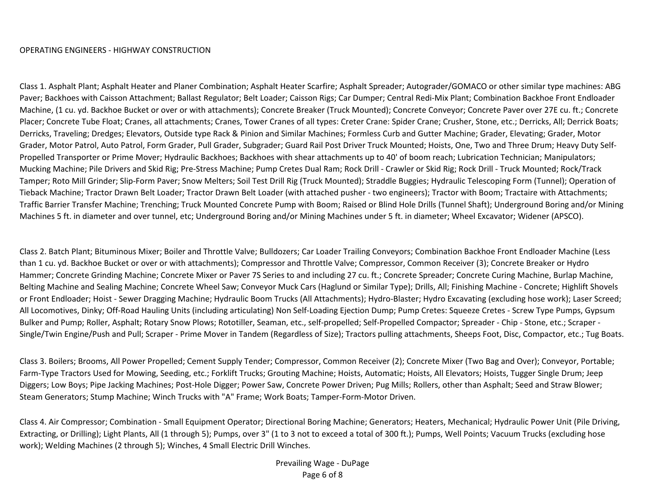#### OPERATING ENGINEERS - HIGHWAY CONSTRUCTION

Class 1. Asphalt Plant; Asphalt Heater and Planer Combination; Asphalt Heater Scarfire; Asphalt Spreader; Autograder/GOMACO or other similar type machines: ABG Paver; Backhoes with Caisson Attachment; Ballast Regulator; Belt Loader; Caisson Rigs; Car Dumper; Central Redi-Mix Plant; Combination Backhoe Front Endloader Machine, (1 cu. yd. Backhoe Bucket or over or with attachments); Concrete Breaker (Truck Mounted); Concrete Conveyor; Concrete Paver over 27E cu. ft.; Concrete Placer; Concrete Tube Float; Cranes, all attachments; Cranes, Tower Cranes of all types: Creter Crane: Spider Crane; Crusher, Stone, etc.; Derricks, All; Derrick Boats; Derricks, Traveling; Dredges; Elevators, Outside type Rack & Pinion and Similar Machines; Formless Curb and Gutter Machine; Grader, Elevating; Grader, Motor Grader, Motor Patrol, Auto Patrol, Form Grader, Pull Grader, Subgrader; Guard Rail Post Driver Truck Mounted; Hoists, One, Two and Three Drum; Heavy Duty Self-Propelled Transporter or Prime Mover; Hydraulic Backhoes; Backhoes with shear attachments up to 40' of boom reach; Lubrication Technician; Manipulators; Mucking Machine; Pile Drivers and Skid Rig; Pre-Stress Machine; Pump Cretes Dual Ram; Rock Drill - Crawler or Skid Rig; Rock Drill - Truck Mounted; Rock/Track Tamper; Roto Mill Grinder; Slip-Form Paver; Snow Melters; Soil Test Drill Rig (Truck Mounted); Straddle Buggies; Hydraulic Telescoping Form (Tunnel); Operation of Tieback Machine; Tractor Drawn Belt Loader; Tractor Drawn Belt Loader (with attached pusher - two engineers); Tractor with Boom; Tractaire with Attachments; Traffic Barrier Transfer Machine; Trenching; Truck Mounted Concrete Pump with Boom; Raised or Blind Hole Drills (Tunnel Shaft); Underground Boring and/or Mining Machines 5 ft. in diameter and over tunnel, etc; Underground Boring and/or Mining Machines under 5 ft. in diameter; Wheel Excavator; Widener (APSCO).

Class 2. Batch Plant; Bituminous Mixer; Boiler and Throttle Valve; Bulldozers; Car Loader Trailing Conveyors; Combination Backhoe Front Endloader Machine (Less than 1 cu. yd. Backhoe Bucket or over or with attachments); Compressor and Throttle Valve; Compressor, Common Receiver (3); Concrete Breaker or Hydro Hammer; Concrete Grinding Machine; Concrete Mixer or Paver 7S Series to and including 27 cu. ft.; Concrete Spreader; Concrete Curing Machine, Burlap Machine, Belting Machine and Sealing Machine; Concrete Wheel Saw; Conveyor Muck Cars (Haglund or Similar Type); Drills, All; Finishing Machine - Concrete; Highlift Shovels or Front Endloader; Hoist - Sewer Dragging Machine; Hydraulic Boom Trucks (All Attachments); Hydro-Blaster; Hydro Excavating (excluding hose work); Laser Screed; All Locomotives, Dinky; Off-Road Hauling Units (including articulating) Non Self-Loading Ejection Dump; Pump Cretes: Squeeze Cretes - Screw Type Pumps, Gypsum Bulker and Pump; Roller, Asphalt; Rotary Snow Plows; Rototiller, Seaman, etc., self-propelled; Self-Propelled Compactor; Spreader - Chip - Stone, etc.; Scraper - Single/Twin Engine/Push and Pull; Scraper - Prime Mover in Tandem (Regardless of Size); Tractors pulling attachments, Sheeps Foot, Disc, Compactor, etc.; Tug Boats.

Class 3. Boilers; Brooms, All Power Propelled; Cement Supply Tender; Compressor, Common Receiver (2); Concrete Mixer (Two Bag and Over); Conveyor, Portable; Farm-Type Tractors Used for Mowing, Seeding, etc.; Forklift Trucks; Grouting Machine; Hoists, Automatic; Hoists, All Elevators; Hoists, Tugger Single Drum; Jeep Diggers; Low Boys; Pipe Jacking Machines; Post-Hole Digger; Power Saw, Concrete Power Driven; Pug Mills; Rollers, other than Asphalt; Seed and Straw Blower; Steam Generators; Stump Machine; Winch Trucks with "A" Frame; Work Boats; Tamper-Form-Motor Driven.

Class 4. Air Compressor; Combination - Small Equipment Operator; Directional Boring Machine; Generators; Heaters, Mechanical; Hydraulic Power Unit (Pile Driving, Extracting, or Drilling); Light Plants, All (1 through 5); Pumps, over 3" (1 to 3 not to exceed a total of 300 ft.); Pumps, Well Points; Vacuum Trucks (excluding hose work); Welding Machines (2 through 5); Winches, 4 Small Electric Drill Winches.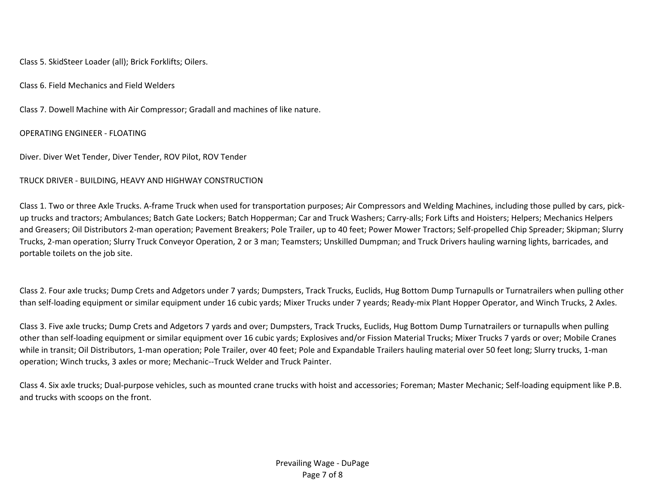Class 5. SkidSteer Loader (all); Brick Forklifts; Oilers.

Class 6. Field Mechanics and Field Welders

Class 7. Dowell Machine with Air Compressor; Gradall and machines of like nature.

OPERATING ENGINEER - FLOATING

Diver. Diver Wet Tender, Diver Tender, ROV Pilot, ROV Tender

# TRUCK DRIVER - BUILDING, HEAVY AND HIGHWAY CONSTRUCTION

Class 1. Two or three Axle Trucks. A-frame Truck when used for transportation purposes; Air Compressors and Welding Machines, including those pulled by cars, pickup trucks and tractors; Ambulances; Batch Gate Lockers; Batch Hopperman; Car and Truck Washers; Carry-alls; Fork Lifts and Hoisters; Helpers; Mechanics Helpers and Greasers; Oil Distributors 2-man operation; Pavement Breakers; Pole Trailer, up to 40 feet; Power Mower Tractors; Self-propelled Chip Spreader; Skipman; Slurry Trucks, 2-man operation; Slurry Truck Conveyor Operation, 2 or 3 man; Teamsters; Unskilled Dumpman; and Truck Drivers hauling warning lights, barricades, and portable toilets on the job site.

Class 2. Four axle trucks; Dump Crets and Adgetors under 7 yards; Dumpsters, Track Trucks, Euclids, Hug Bottom Dump Turnapulls or Turnatrailers when pulling other than self-loading equipment or similar equipment under 16 cubic yards; Mixer Trucks under 7 yeards; Ready-mix Plant Hopper Operator, and Winch Trucks, 2 Axles.

Class 3. Five axle trucks; Dump Crets and Adgetors 7 yards and over; Dumpsters, Track Trucks, Euclids, Hug Bottom Dump Turnatrailers or turnapulls when pulling other than self-loading equipment or similar equipment over 16 cubic yards; Explosives and/or Fission Material Trucks; Mixer Trucks 7 yards or over; Mobile Cranes while in transit; Oil Distributors, 1-man operation; Pole Trailer, over 40 feet; Pole and Expandable Trailers hauling material over 50 feet long; Slurry trucks, 1-man operation; Winch trucks, 3 axles or more; Mechanic--Truck Welder and Truck Painter.

Class 4. Six axle trucks; Dual-purpose vehicles, such as mounted crane trucks with hoist and accessories; Foreman; Master Mechanic; Self-loading equipment like P.B. and trucks with scoops on the front.